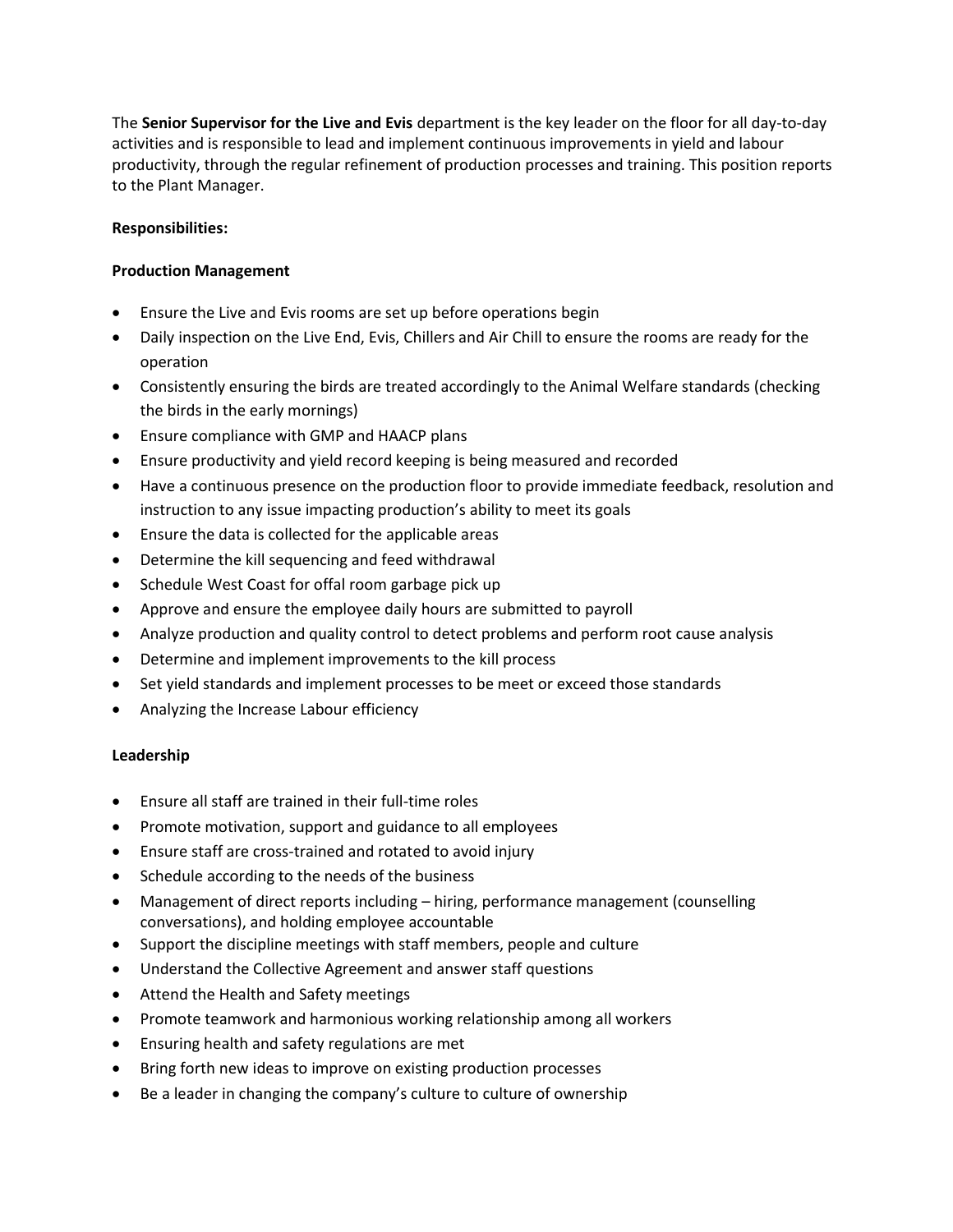The **Senior Supervisor for the Live and Evis** department is the key leader on the floor for all day-to-day activities and is responsible to lead and implement continuous improvements in yield and labour productivity, through the regular refinement of production processes and training. This position reports to the Plant Manager.

## **Responsibilities:**

## **Production Management**

- Ensure the Live and Evis rooms are set up before operations begin
- Daily inspection on the Live End, Evis, Chillers and Air Chill to ensure the rooms are ready for the operation
- Consistently ensuring the birds are treated accordingly to the Animal Welfare standards (checking the birds in the early mornings)
- Ensure compliance with GMP and HAACP plans
- Ensure productivity and yield record keeping is being measured and recorded
- Have a continuous presence on the production floor to provide immediate feedback, resolution and instruction to any issue impacting production's ability to meet its goals
- Ensure the data is collected for the applicable areas
- Determine the kill sequencing and feed withdrawal
- Schedule West Coast for offal room garbage pick up
- Approve and ensure the employee daily hours are submitted to payroll
- Analyze production and quality control to detect problems and perform root cause analysis
- Determine and implement improvements to the kill process
- Set yield standards and implement processes to be meet or exceed those standards
- Analyzing the Increase Labour efficiency

## **Leadership**

- Ensure all staff are trained in their full-time roles
- Promote motivation, support and guidance to all employees
- Ensure staff are cross-trained and rotated to avoid injury
- Schedule according to the needs of the business
- Management of direct reports including hiring, performance management (counselling conversations), and holding employee accountable
- Support the discipline meetings with staff members, people and culture
- Understand the Collective Agreement and answer staff questions
- Attend the Health and Safety meetings
- Promote teamwork and harmonious working relationship among all workers
- Ensuring health and safety regulations are met
- Bring forth new ideas to improve on existing production processes
- Be a leader in changing the company's culture to culture of ownership